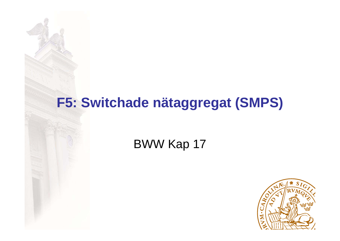#### **F5: Switchade nätaggregat (SMPS)**

#### BWW Kap 17

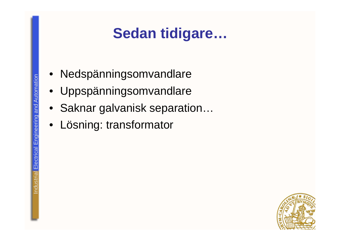## **Sedan tidigare…**

- •Nedspänningsomvandlare
- Uppspänningsomvandlare
- Saknar galvanisk separation…
- •Lösning: transformator

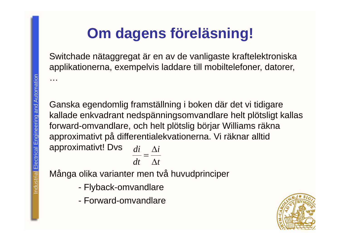# **Om dagens föreläsning!**

Switchade nätaggregat är en av de vanligaste kraftelektroniska applikationerna, exempelvis laddare till mobiltelefoner, datorer,

Ganska egendomlig framställning i boken där det vi tidigare kallade enkvadrant nedspänningsomvandlare helt plötsligt kallas forward-omvandlare, och helt plötslig börjar Williams räkna approximativt på differentialekvationerna. Vi räknar alltid approximativt! Dvs  $dt$   $\Delta t$  $\frac{di}{i} = \frac{\Delta i}{i}$ 

Många olika varianter men två huvudprinciper

- -Flyback-omvandlare
- Forward-omvandlare



…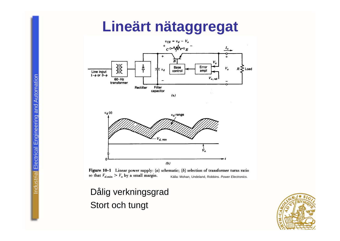## **Lineärt nätaggregat**



Figure 10-1 Linear power supply: (a) schematic; (b) selection of transformer turns ratio so that  $V_{d,\min} > V_o$  by a small margin. Källa: Mohan, Undeland, Robbins. *Power Electronics.*

Dålig verkningsgrad Stort och tungt

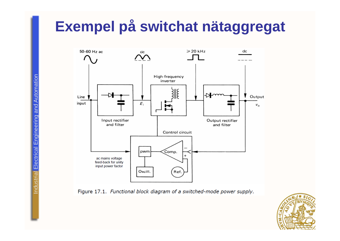## **Exempel på switchat nätaggregat**



Figure 17.1. Functional block diagram of a switched-mode power supply.

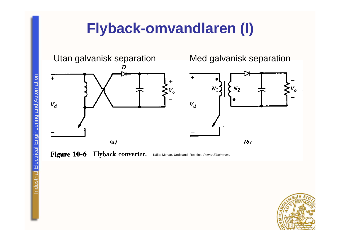# **Flyback-omvandlaren (I)**



Figure 10-6 Flyback converter. Källa: Mohan, Undeland, Robbins. Power Electronics.

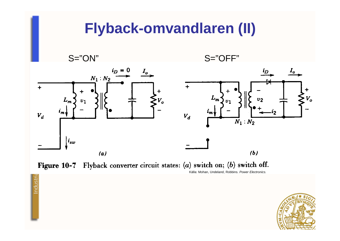



ndustria

Källa: Mohan, Undeland, Robbins. *Power Electronics.*

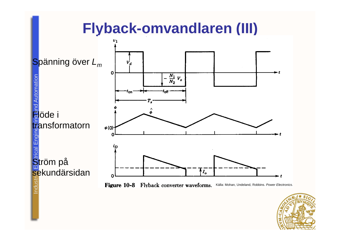#### **Flyback-omvandlaren (III)**





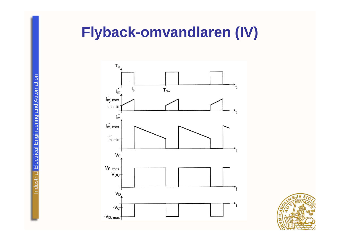## **Flyback-omvandlaren (IV)**



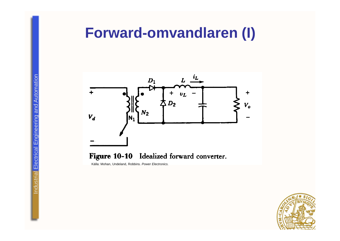#### **Forward-omvandlaren (I)**



#### Figure 10-10 Idealized forward converter.

Källa: Mohan, Undeland, Robbins. *Power Electronics.*

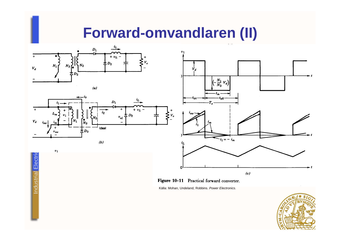#### **Forward-omvandlaren (II)**











Källa: Mohan, Undeland, Robbins. *Power Electronics.*





 $v_1$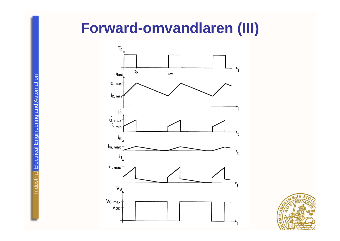#### **Forward-omvandlaren (III)**



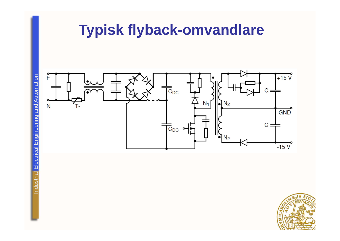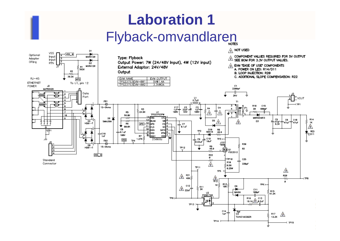# **Laboration 1**Flyback-omvandlaren

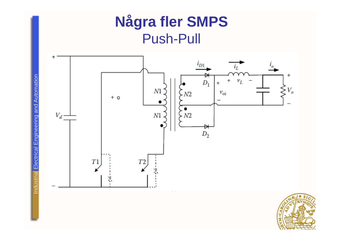

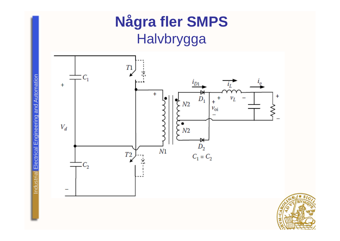

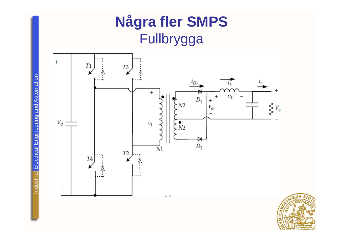## **Några fler SMPS** Fullbrygga